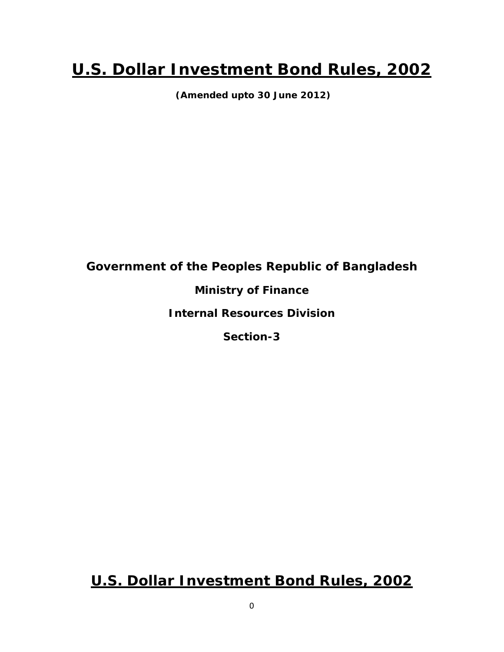# **U.S. Dollar Investment Bond Rules, 2002**

 **(Amended upto 30 June 2012)** 

# **Government of the Peoples Republic of Bangladesh**

## **Ministry of Finance**

### **Internal Resources Division**

**Section-3** 

# **U.S. Dollar Investment Bond Rules, 2002**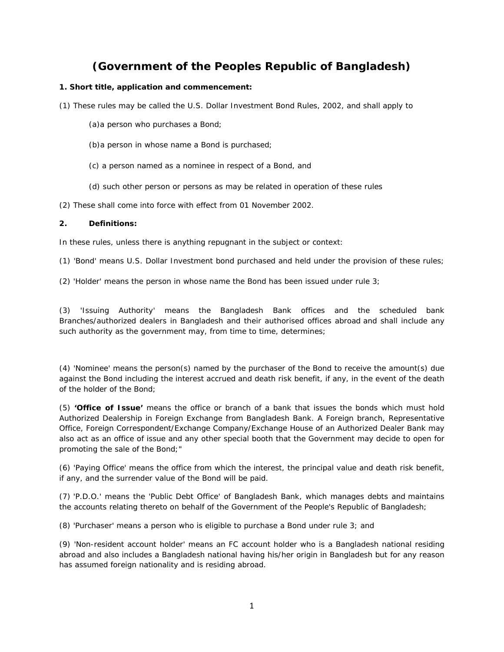### **(Government of the Peoples Republic of Bangladesh)**

#### **1. Short title, application and commencement:**

(1) These rules may be called the U.S. Dollar Investment Bond Rules, 2002, and shall apply to

- (a)a person who purchases a Bond;
- (b)a person in whose name a Bond is purchased;
- (c) a person named as a nominee in respect of a Bond, and
- (d) such other person or persons as may be related in operation of these rules

(2) These shall come into force with effect from 01 November 2002.

#### **2. Definitions:**

In these rules, unless there is anything repugnant in the subject or context:

(1) 'Bond' means U.S. Dollar Investment bond purchased and held under the provision of these rules;

(2) 'Holder' means the person in whose name the Bond has been issued under rule  $3$ ;

(3) 'Issuing Authority' means the Bangladesh Bank offices and the scheduled bank Branches/authorized dealers in Bangladesh and their authorised offices abroad and shall include any such authority as the government may, from time to time, determines;

(4) 'Nominee' means the person(s) named by the purchaser of the Bond to receive the amount(s) due against the Bond including the interest accrued and death risk benefit, if any, in the event of the death of the holder of the Bond;

(5) **'Office of Issue'** means the office or branch of a bank that issues the bonds which must hold Authorized Dealership in Foreign Exchange from Bangladesh Bank. A Foreign branch, Representative Office, Foreign Correspondent/Exchange Company/Exchange House of an Authorized Dealer Bank may also act as an office of issue and any other special booth that the Government may decide to open for promoting the sale of the Bond;"

(6) 'Paying Office' means the office from which the interest, the principal value and death risk benefit, if any, and the surrender value of the Bond will be paid.

(7) 'P.D.O.' means the 'Public Debt Office' of Bangladesh Bank, which manages debts and maintains the accounts relating thereto on behalf of the Government of the People's Republic of Bangladesh;

(8) 'Purchaser' means a person who is eligible to purchase a Bond under rule 3; and

(9) 'Non-resident account holder' means an FC account holder who is a Bangladesh national residing abroad and also includes a Bangladesh national having his/her origin in Bangladesh but for any reason has assumed foreign nationality and is residing abroad.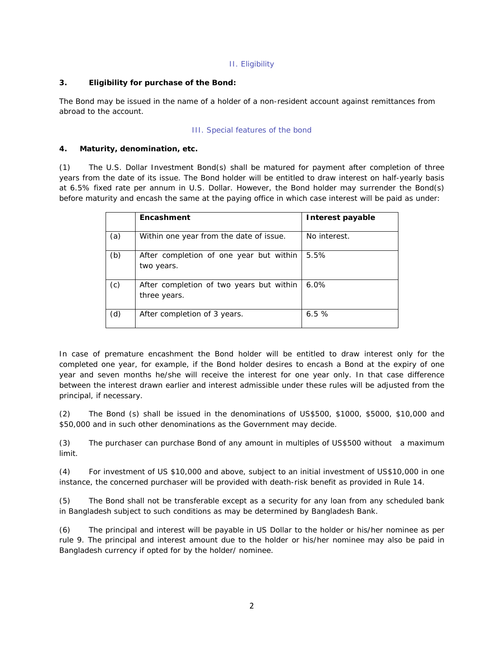#### II. Eligibility

#### **3. Eligibility for purchase of the Bond:**

The Bond may be issued in the name of a holder of a non-resident account against remittances from abroad to the account.

#### III. Special features of the bond

#### **4. Maturity, denomination, etc.**

(1) The U.S. Dollar Investment Bond(s) shall be matured for payment after completion of three years from the date of its issue. The Bond holder will be entitled to draw interest on half-yearly basis at 6.5% fixed rate per annum in U.S. Dollar. However, the Bond holder may surrender the Bond(s) before maturity and encash the same at the paying office in which case interest will be paid as under:

|     | Encashment                                               | Interest payable |
|-----|----------------------------------------------------------|------------------|
| (a) | Within one year from the date of issue.                  | No interest.     |
| (b) | After completion of one year but within<br>two years.    | 5.5%             |
| (c) | After completion of two years but within<br>three years. | $6.0\%$          |
| (d) | After completion of 3 years.                             | 6.5%             |

In case of premature encashment the Bond holder will be entitled to draw interest only for the completed one year, for example, if the Bond holder desires to encash a Bond at the expiry of one year and seven months he/she will receive the interest for one year only. In that case difference between the interest drawn earlier and interest admissible under these rules will be adjusted from the principal, if necessary.

(2) The Bond (s) shall be issued in the denominations of US\$500, \$1000, \$5000, \$10,000 and \$50,000 and in such other denominations as the Government may decide.

(3) The purchaser can purchase Bond of any amount in multiples of US\$500 without a maximum limit.

(4) For investment of US \$10,000 and above, subject to an initial investment of US\$10,000 in one instance, the concerned purchaser will be provided with death-risk benefit as provided in Rule 14.

(5) The Bond shall not be transferable except as a security for any loan from any scheduled bank in Bangladesh subject to such conditions as may be determined by Bangladesh Bank.

(6) The principal and interest will be payable in US Dollar to the holder or his/her nominee as per rule 9. The principal and interest amount due to the holder or his/her nominee may also be paid in Bangladesh currency if opted for by the holder/ nominee.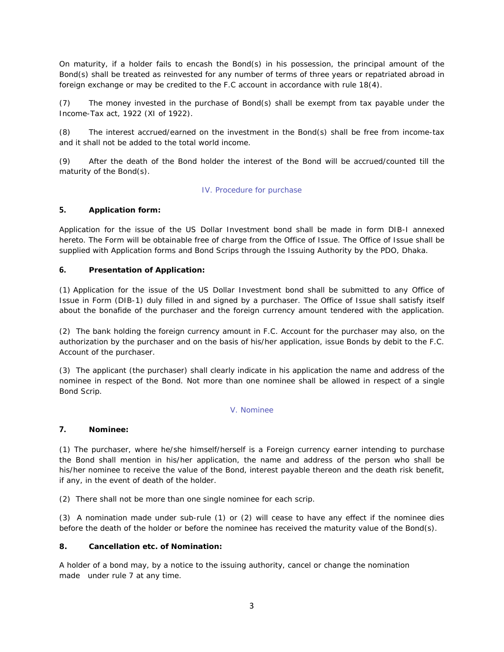On maturity, if a holder fails to encash the Bond(s) in his possession, the principal amount of the Bond(s) shall be treated as reinvested for any number of terms of three years or repatriated abroad in foreign exchange or may be credited to the F.C account in accordance with rule 18(4).

(7) The money invested in the purchase of Bond(s) shall be exempt from tax payable under the Income-Tax act, 1922 (XI of 1922).

(8) The interest accrued/earned on the investment in the Bond(s) shall be free from income-tax and it shall not be added to the total world income.

(9) After the death of the Bond holder the interest of the Bond will be accrued/counted till the maturity of the Bond(s).

#### IV. Procedure for purchase

#### **5. Application form:**

Application for the issue of the US Dollar Investment bond shall be made in form DIB-I annexed hereto. The Form will be obtainable free of charge from the Office of Issue. The Office of Issue shall be supplied with Application forms and Bond Scrips through the Issuing Authority by the PDO, Dhaka.

#### **6. Presentation of Application:**

(1) Application for the issue of the US Dollar Investment bond shall be submitted to any Office of Issue in Form (DIB-1) duly filled in and signed by a purchaser. The Office of Issue shall satisfy itself about the bonafide of the purchaser and the foreign currency amount tendered with the application.

(2) The bank holding the foreign currency amount in F.C. Account for the purchaser may also, on the authorization by the purchaser and on the basis of his/her application, issue Bonds by debit to the F.C. Account of the purchaser.

(3) The applicant (the purchaser) shall clearly indicate in his application the name and address of the nominee in respect of the Bond. Not more than one nominee shall be allowed in respect of a single Bond Scrip.

#### V. Nominee

#### **7. Nominee:**

(1) The purchaser, where he/she himself/herself is a Foreign currency earner intending to purchase the Bond shall mention in his/her application, the name and address of the person who shall be his/her nominee to receive the value of the Bond, interest payable thereon and the death risk benefit, if any, in the event of death of the holder.

(2) There shall not be more than one single nominee for each scrip.

(3) A nomination made under sub-rule (1) or (2) will cease to have any effect if the nominee dies before the death of the holder or before the nominee has received the maturity value of the Bond(s).

#### **8. Cancellation etc. of Nomination:**

A holder of a bond may, by a notice to the issuing authority, cancel or change the nomination made under rule 7 at any time.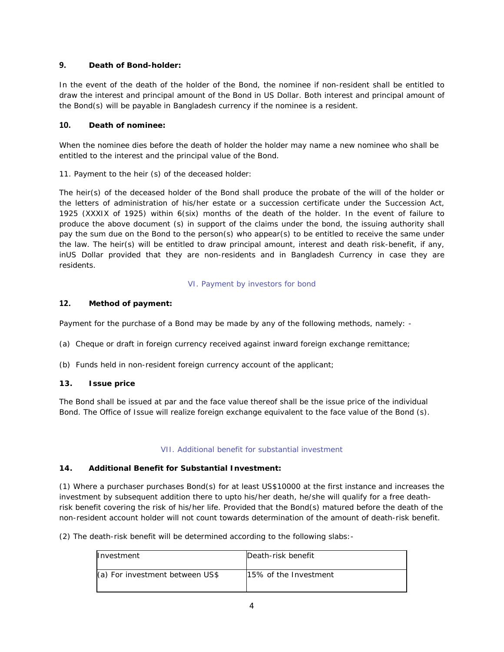#### **9. Death of Bond-holder:**

In the event of the death of the holder of the Bond, the nominee if non-resident shall be entitled to draw the interest and principal amount of the Bond in US Dollar. Both interest and principal amount of the Bond(s) will be payable in Bangladesh currency if the nominee is a resident.

#### **10. Death of nominee:**

When the nominee dies before the death of holder the holder may name a new nominee who shall be entitled to the interest and the principal value of the Bond.

11. Payment to the heir (s) of the deceased holder:

The heir(s) of the deceased holder of the Bond shall produce the probate of the will of the holder or the letters of administration of his/her estate or a succession certificate under the Succession Act, 1925 (XXXIX of 1925) within 6(six) months of the death of the holder. In the event of failure to produce the above document (s) in support of the claims under the bond, the issuing authority shall pay the sum due on the Bond to the person(s) who appear(s) to be entitled to receive the same under the law. The heir(s) will be entitled to draw principal amount, interest and death risk-benefit, if any, inUS Dollar provided that they are non-residents and in Bangladesh Currency in case they are residents.

#### VI. Payment by investors for bond

#### **12. Method of payment:**

Payment for the purchase of a Bond may be made by any of the following methods, namely: -

- (a) Cheque or draft in foreign currency received against inward foreign exchange remittance;
- (b) Funds held in non-resident foreign currency account of the applicant;

#### **13. Issue price**

The Bond shall be issued at par and the face value thereof shall be the issue price of the individual Bond. The Office of Issue will realize foreign exchange equivalent to the face value of the Bond (s).

#### VII. Additional benefit for substantial investment

#### **14. Additional Benefit for Substantial Investment:**

(1) Where a purchaser purchases Bond(s) for at least US\$10000 at the first instance and increases the investment by subsequent addition there to upto his/her death, he/she will qualify for a free deathrisk benefit covering the risk of his/her life. Provided that the Bond(s) matured before the death of the non-resident account holder will not count towards determination of the amount of death-risk benefit.

(2) The death-risk benefit will be determined according to the following slabs:-

| Investment                      | Death-risk benefit    |
|---------------------------------|-----------------------|
| (a) For investment between US\$ | 15% of the Investment |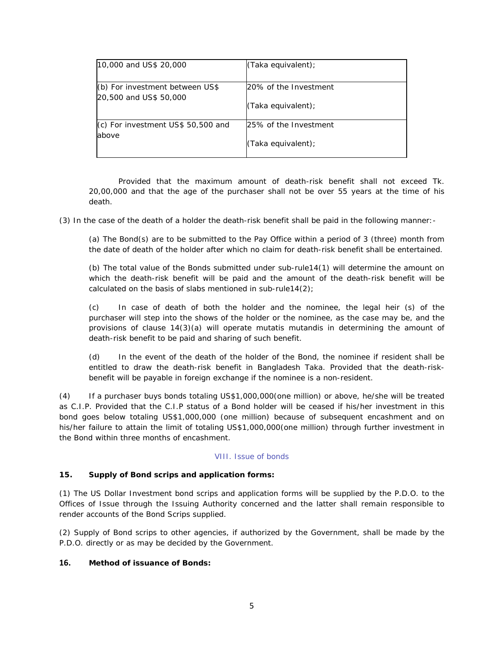| 10,000 and US\$ 20,000             | (Taka equivalent);    |
|------------------------------------|-----------------------|
| $(6)$ For investment between US\$  | 20% of the Investment |
| 20,500 and US\$ 50,000             | (Taka equivalent);    |
| (c) For investment US\$ 50,500 and | 25% of the Investment |
| above                              | (Taka equivalent);    |

Provided that the maximum amount of death-risk benefit shall not exceed Tk. 20,00,000 and that the age of the purchaser shall not be over 55 years at the time of his death.

(3) In the case of the death of a holder the death-risk benefit shall be paid in the following manner:-

(a) The Bond(s) are to be submitted to the Pay Office within a period of 3 (three) month from the date of death of the holder after which no claim for death-risk benefit shall be entertained.

(b) The total value of the Bonds submitted under sub-rule14(1) will determine the amount on which the death-risk benefit will be paid and the amount of the death-risk benefit will be calculated on the basis of slabs mentioned in sub-rule14 $(2)$ ;

(c) In case of death of both the holder and the nominee, the legal heir (s) of the purchaser will step into the shows of the holder or the nominee, as the case may be, and the provisions of clause 14(3)(a) will operate mutatis mutandis in determining the amount of death-risk benefit to be paid and sharing of such benefit.

(d) In the event of the death of the holder of the Bond, the nominee if resident shall be entitled to draw the death-risk benefit in Bangladesh Taka. Provided that the death-riskbenefit will be payable in foreign exchange if the nominee is a non-resident.

(4) If a purchaser buys bonds totaling US\$1,000,000(one million) or above, he/she will be treated as C.I.P. Provided that the C.I.P status of a Bond holder will be ceased if his/her investment in this bond goes below totaling US\$1,000,000 (one million) because of subsequent encashment and on his/her failure to attain the limit of totaling US\$1,000,000(one million) through further investment in the Bond within three months of encashment.

#### VIII. Issue of bonds

#### **15. Supply of Bond scrips and application forms:**

(1) The US Dollar Investment bond scrips and application forms will be supplied by the P.D.O. to the Offices of Issue through the Issuing Authority concerned and the latter shall remain responsible to render accounts of the Bond Scrips supplied.

(2) Supply of Bond scrips to other agencies, if authorized by the Government, shall be made by the P.D.O. directly or as may be decided by the Government.

#### **16. Method of issuance of Bonds:**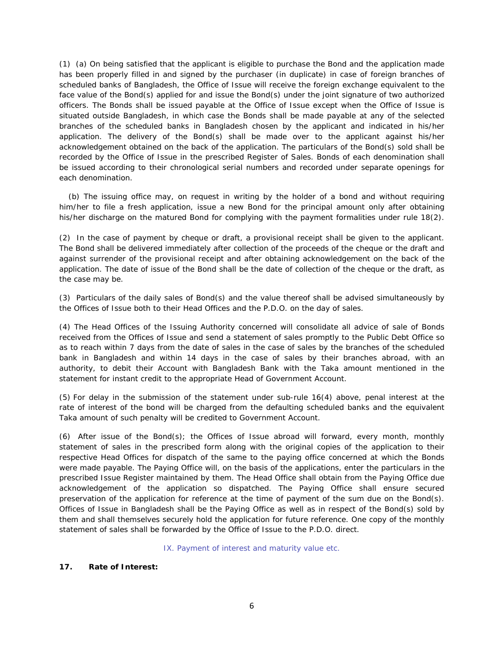(1) (a) On being satisfied that the applicant is eligible to purchase the Bond and the application made has been properly filled in and signed by the purchaser (in duplicate) in case of foreign branches of scheduled banks of Bangladesh, the Office of Issue will receive the foreign exchange equivalent to the face value of the Bond(s) applied for and issue the Bond(s) under the joint signature of two authorized officers. The Bonds shall be issued payable at the Office of Issue except when the Office of Issue is situated outside Bangladesh, in which case the Bonds shall be made payable at any of the selected branches of the scheduled banks in Bangladesh chosen by the applicant and indicated in his/her application. The delivery of the Bond(s) shall be made over to the applicant against his/her acknowledgement obtained on the back of the application. The particulars of the Bond(s) sold shall be recorded by the Office of Issue in the prescribed Register of Sales. Bonds of each denomination shall be issued according to their chronological serial numbers and recorded under separate openings for each denomination.

 (b) The issuing office may, on request in writing by the holder of a bond and without requiring him/her to file a fresh application, issue a new Bond for the principal amount only after obtaining his/her discharge on the matured Bond for complying with the payment formalities under rule 18(2).

(2) In the case of payment by cheque or draft, a provisional receipt shall be given to the applicant. The Bond shall be delivered immediately after collection of the proceeds of the cheque or the draft and against surrender of the provisional receipt and after obtaining acknowledgement on the back of the application. The date of issue of the Bond shall be the date of collection of the cheque or the draft, as the case may be.

(3) Particulars of the daily sales of Bond(s) and the value thereof shall be advised simultaneously by the Offices of Issue both to their Head Offices and the P.D.O. on the day of sales.

(4) The Head Offices of the Issuing Authority concerned will consolidate all advice of sale of Bonds received from the Offices of Issue and send a statement of sales promptly to the Public Debt Office so as to reach within 7 days from the date of sales in the case of sales by the branches of the scheduled bank in Bangladesh and within 14 days in the case of sales by their branches abroad, with an authority, to debit their Account with Bangladesh Bank with the Taka amount mentioned in the statement for instant credit to the appropriate Head of Government Account.

(5) For delay in the submission of the statement under sub-rule 16(4) above, penal interest at the rate of interest of the bond will be charged from the defaulting scheduled banks and the equivalent Taka amount of such penalty will be credited to Government Account.

(6) After issue of the Bond(s); the Offices of Issue abroad will forward, every month, monthly statement of sales in the prescribed form along with the original copies of the application to their respective Head Offices for dispatch of the same to the paying office concerned at which the Bonds were made payable. The Paying Office will, on the basis of the applications, enter the particulars in the prescribed Issue Register maintained by them. The Head Office shall obtain from the Paying Office due acknowledgement of the application so dispatched. The Paying Office shall ensure secured preservation of the application for reference at the time of payment of the sum due on the Bond(s). Offices of Issue in Bangladesh shall be the Paying Office as well as in respect of the Bond(s) sold by them and shall themselves securely hold the application for future reference. One copy of the monthly statement of sales shall be forwarded by the Office of Issue to the P.D.O. direct.

IX. Payment of interest and maturity value etc.

#### **17. Rate of Interest:**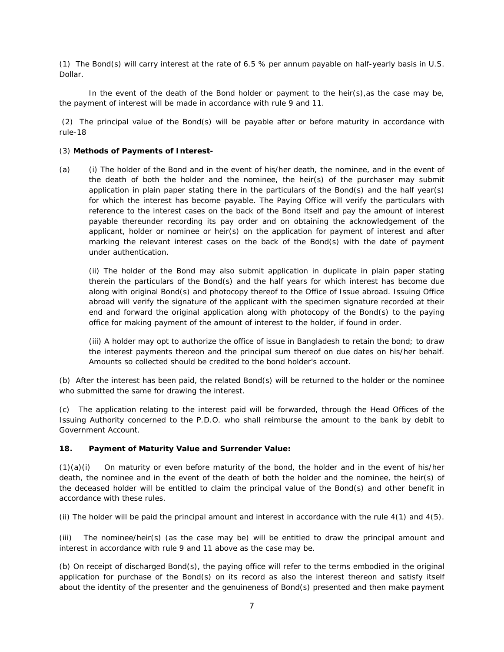(1) The Bond(s) will carry interest at the rate of 6.5 % per annum payable on half-yearly basis in U.S. Dollar.

In the event of the death of the Bond holder or payment to the heir(s), as the case may be, the payment of interest will be made in accordance with rule 9 and 11.

 (2) The principal value of the Bond(s) will be payable after or before maturity in accordance with rule-18

#### (3) **Methods of Payments of Interest-**

(a) (i) The holder of the Bond and in the event of his/her death, the nominee, and in the event of the death of both the holder and the nominee, the heir(s) of the purchaser may submit application in plain paper stating there in the particulars of the Bond(s) and the half year(s) for which the interest has become payable. The Paying Office will verify the particulars with reference to the interest cases on the back of the Bond itself and pay the amount of interest payable thereunder recording its pay order and on obtaining the acknowledgement of the applicant, holder or nominee or heir(s) on the application for payment of interest and after marking the relevant interest cases on the back of the Bond(s) with the date of payment under authentication.

(ii) The holder of the Bond may also submit application in duplicate in plain paper stating therein the particulars of the Bond(s) and the half years for which interest has become due along with original Bond(s) and photocopy thereof to the Office of Issue abroad. Issuing Office abroad will verify the signature of the applicant with the specimen signature recorded at their end and forward the original application along with photocopy of the Bond(s) to the paying office for making payment of the amount of interest to the holder, if found in order.

(iii) A holder may opt to authorize the office of issue in Bangladesh to retain the bond; to draw the interest payments thereon and the principal sum thereof on due dates on his/her behalf. Amounts so collected should be credited to the bond holder's account.

(b) After the interest has been paid, the related Bond(s) will be returned to the holder or the nominee who submitted the same for drawing the interest.

(c) The application relating to the interest paid will be forwarded, through the Head Offices of the Issuing Authority concerned to the P.D.O. who shall reimburse the amount to the bank by debit to Government Account.

#### **18. Payment of Maturity Value and Surrender Value:**

 $(1)(a)(i)$  On maturity or even before maturity of the bond, the holder and in the event of his/her death, the nominee and in the event of the death of both the holder and the nominee, the heir(s) of the deceased holder will be entitled to claim the principal value of the Bond(s) and other benefit in accordance with these rules.

(ii) The holder will be paid the principal amount and interest in accordance with the rule 4(1) and 4(5).

(iii) The nominee/heir(s) (as the case may be) will be entitled to draw the principal amount and interest in accordance with rule 9 and 11 above as the case may be.

(b) On receipt of discharged Bond(s), the paying office will refer to the terms embodied in the original application for purchase of the Bond(s) on its record as also the interest thereon and satisfy itself about the identity of the presenter and the genuineness of Bond(s) presented and then make payment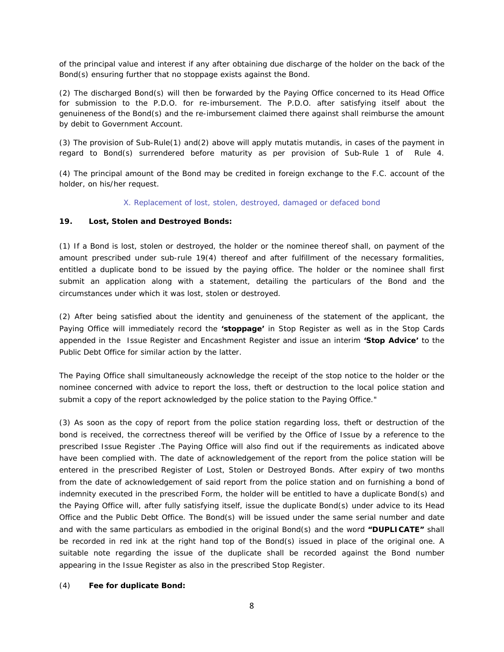of the principal value and interest if any after obtaining due discharge of the holder on the back of the Bond(s) ensuring further that no stoppage exists against the Bond.

(2) The discharged Bond(s) will then be forwarded by the Paying Office concerned to its Head Office for submission to the P.D.O. for re-imbursement. The P.D.O. after satisfying itself about the genuineness of the Bond(s) and the re-imbursement claimed there against shall reimburse the amount by debit to Government Account.

(3) The provision of Sub-Rule(1) and(2) above will apply mutatis mutandis, in cases of the payment in regard to Bond(s) surrendered before maturity as per provision of Sub-Rule 1 of Rule 4.

(4) The principal amount of the Bond may be credited in foreign exchange to the F.C. account of the holder, on his/her request.

X. Replacement of lost, stolen, destroyed, damaged or defaced bond

#### **19. Lost, Stolen and Destroyed Bonds:**

(1) If a Bond is lost, stolen or destroyed, the holder or the nominee thereof shall, on payment of the amount prescribed under sub-rule 19(4) thereof and after fulfillment of the necessary formalities, entitled a duplicate bond to be issued by the paying office. The holder or the nominee shall first submit an application along with a statement, detailing the particulars of the Bond and the circumstances under which it was lost, stolen or destroyed.

(2) After being satisfied about the identity and genuineness of the statement of the applicant, the Paying Office will immediately record the **'stoppage'** in Stop Register as well as in the Stop Cards appended in the Issue Register and Encashment Register and issue an interim **'Stop Advice'** to the Public Debt Office for similar action by the latter.

The Paying Office shall simultaneously acknowledge the receipt of the stop notice to the holder or the nominee concerned with advice to report the loss, theft or destruction to the local police station and submit a copy of the report acknowledged by the police station to the Paying Office."

(3) As soon as the copy of report from the police station regarding loss, theft or destruction of the bond is received, the correctness thereof will be verified by the Office of Issue by a reference to the prescribed Issue Register .The Paying Office will also find out if the requirements as indicated above have been complied with. The date of acknowledgement of the report from the police station will be entered in the prescribed Register of Lost, Stolen or Destroyed Bonds. After expiry of two months from the date of acknowledgement of said report from the police station and on furnishing a bond of indemnity executed in the prescribed Form, the holder will be entitled to have a duplicate Bond(s) and the Paying Office will, after fully satisfying itself, issue the duplicate Bond(s) under advice to its Head Office and the Public Debt Office. The Bond(s) will be issued under the same serial number and date and with the same particulars as embodied in the original Bond(s) and the word **"DUPLICATE"** shall be recorded in red ink at the right hand top of the Bond(s) issued in place of the original one. A suitable note regarding the issue of the duplicate shall be recorded against the Bond number appearing in the Issue Register as also in the prescribed Stop Register.

#### (4) **Fee for duplicate Bond:**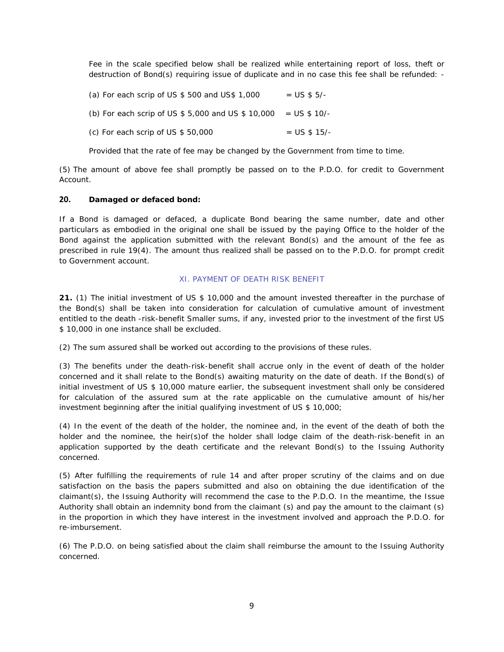Fee in the scale specified below shall be realized while entertaining report of loss, theft or destruction of Bond(s) requiring issue of duplicate and in no case this fee shall be refunded: -

(a) For each scrip of US  $$500$  and US $$1,000$  = US  $$5/-$ (b) For each scrip of US  $$5,000$  and US  $$10,000 = US $10/$ -(c) For each scrip of US  $$50,000$  = US  $$15/-$ 

Provided that the rate of fee may be changed by the Government from time to time.

(5) The amount of above fee shall promptly be passed on to the P.D.O. for credit to Government Account.

#### **20. Damaged or defaced bond:**

If a Bond is damaged or defaced, a duplicate Bond bearing the same number, date and other particulars as embodied in the original one shall be issued by the paying Office to the holder of the Bond against the application submitted with the relevant Bond(s) and the amount of the fee as prescribed in rule 19(4). The amount thus realized shall be passed on to the P.D.O. for prompt credit to Government account.

#### XI. PAYMENT OF DEATH RISK BENEFIT

**21.** (1) The initial investment of US \$ 10,000 and the amount invested thereafter in the purchase of the Bond(s) shall be taken into consideration for calculation of cumulative amount of investment entitled to the death -risk-benefit Smaller sums, if any, invested prior to the investment of the first US \$ 10,000 in one instance shall be excluded.

(2) The sum assured shall be worked out according to the provisions of these rules.

(3) The benefits under the death-risk-benefit shall accrue only in the event of death of the holder concerned and it shall relate to the Bond(s) awaiting maturity on the date of death. If the Bond(s) of initial investment of US \$ 10,000 mature earlier, the subsequent investment shall only be considered for calculation of the assured sum at the rate applicable on the cumulative amount of his/her investment beginning after the initial qualifying investment of US \$ 10,000;

(4) In the event of the death of the holder, the nominee and, in the event of the death of both the holder and the nominee, the heir(s) of the holder shall lodge claim of the death-risk-benefit in an application supported by the death certificate and the relevant Bond(s) to the Issuing Authority concerned.

(5) After fulfilling the requirements of rule 14 and after proper scrutiny of the claims and on due satisfaction on the basis the papers submitted and also on obtaining the due identification of the claimant(s), the Issuing Authority will recommend the case to the P.D.O. In the meantime, the Issue Authority shall obtain an indemnity bond from the claimant (s) and pay the amount to the claimant (s) in the proportion in which they have interest in the investment involved and approach the P.D.O. for re-imbursement.

(6) The P.D.O. on being satisfied about the claim shall reimburse the amount to the Issuing Authority concerned.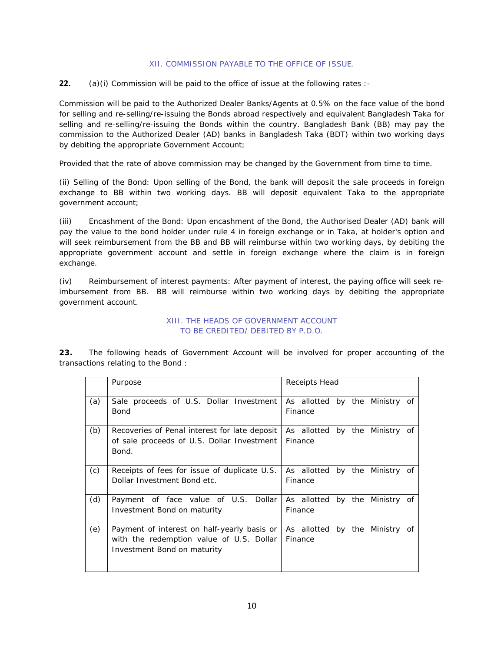#### XII. COMMISSION PAYABLE TO THE OFFICE OF ISSUE.

**22.** (a)(i) Commission will be paid to the office of issue at the following rates :-

Commission will be paid to the Authorized Dealer Banks/Agents at 0.5% on the face value of the bond for selling and re-selling/re-issuing the Bonds abroad respectively and equivalent Bangladesh Taka for selling and re-selling/re-issuing the Bonds within the country. Bangladesh Bank (BB) may pay the commission to the Authorized Dealer (AD) banks in Bangladesh Taka (BDT) within two working days by debiting the appropriate Government Account;

Provided that the rate of above commission may be changed by the Government from time to time.

(ii) Selling of the Bond: Upon selling of the Bond, the bank will deposit the sale proceeds in foreign exchange to BB within two working days. BB will deposit equivalent Taka to the appropriate government account;

(iii) Encashment of the Bond: Upon encashment of the Bond, the Authorised Dealer (AD) bank will pay the value to the bond holder under rule 4 in foreign exchange or in Taka, at holder's option and will seek reimbursement from the BB and BB will reimburse within two working days, by debiting the appropriate government account and settle in foreign exchange where the claim is in foreign exchange.

(iv) Reimbursement of interest payments: After payment of interest, the paying office will seek reimbursement from BB. BB will reimburse within two working days by debiting the appropriate government account.

#### XIII. THE HEADS OF GOVERNMENT ACCOUNT TO BE CREDITED/ DEBITED BY P.D.O.

**23.** The following heads of Government Account will be involved for proper accounting of the transactions relating to the Bond :

|     | Purpose                                                                                                                | Receipts Head                             |
|-----|------------------------------------------------------------------------------------------------------------------------|-------------------------------------------|
| (a) | Sale proceeds of U.S. Dollar Investment<br>Bond                                                                        | As allotted by the Ministry of<br>Finance |
| (b) | Recoveries of Penal interest for late deposit<br>of sale proceeds of U.S. Dollar Investment<br>Bond.                   | As allotted by the Ministry of<br>Finance |
| (c) | Receipts of fees for issue of duplicate U.S.<br>Dollar Investment Bond etc.                                            | As allotted by the Ministry of<br>Finance |
| (d) | Payment of face value of U.S. Dollar<br>Investment Bond on maturity                                                    | As allotted by the Ministry of<br>Finance |
| (e) | Payment of interest on half-yearly basis or<br>with the redemption value of U.S. Dollar<br>Investment Bond on maturity | As allotted by the Ministry of<br>Finance |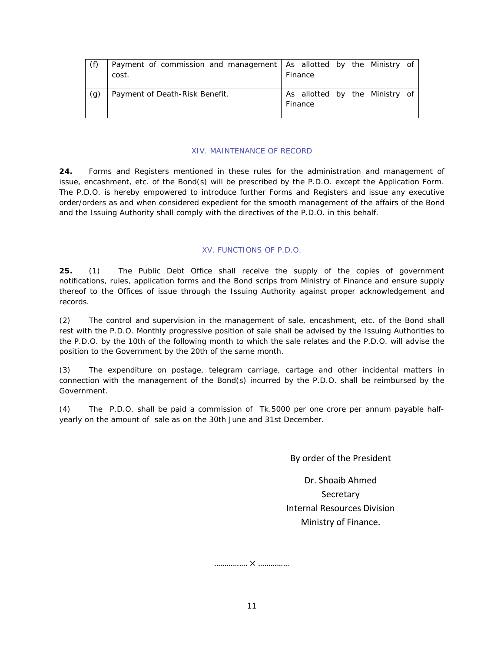|     | Payment of commission and management   As allotted by the Ministry of |                                |
|-----|-----------------------------------------------------------------------|--------------------------------|
|     | cost.                                                                 | Finance                        |
|     |                                                                       |                                |
| (g) | Payment of Death-Risk Benefit.                                        | As allotted by the Ministry of |
|     |                                                                       | Finance                        |
|     |                                                                       |                                |

#### XIV. MAINTENANCE OF RECORD

**24.** Forms and Registers mentioned in these rules for the administration and management of issue, encashment, etc. of the Bond(s) will be prescribed by the P.D.O. except the Application Form. The P.D.O. is hereby empowered to introduce further Forms and Registers and issue any executive order/orders as and when considered expedient for the smooth management of the affairs of the Bond and the Issuing Authority shall comply with the directives of the P.D.O. in this behalf.

#### XV. FUNCTIONS OF P.D.O.

**25.** (1) The Public Debt Office shall receive the supply of the copies of government notifications, rules, application forms and the Bond scrips from Ministry of Finance and ensure supply thereof to the Offices of issue through the Issuing Authority against proper acknowledgement and records.

(2) The control and supervision in the management of sale, encashment, etc. of the Bond shall rest with the P.D.O. Monthly progressive position of sale shall be advised by the Issuing Authorities to the P.D.O. by the 10th of the following month to which the sale relates and the P.D.O. will advise the position to the Government by the 20th of the same month.

(3) The expenditure on postage, telegram carriage, cartage and other incidental matters in connection with the management of the Bond(s) incurred by the P.D.O. shall be reimbursed by the Government.

(4) The P.D.O. shall be paid a commission of Tk.5000 per one crore per annum payable halfyearly on the amount of sale as on the 30th June and 31st December.

#### By order of the President

Dr. Shoaib Ahmed Secretary Internal Resources Division Ministry of Finance.

……………. ൈ ……………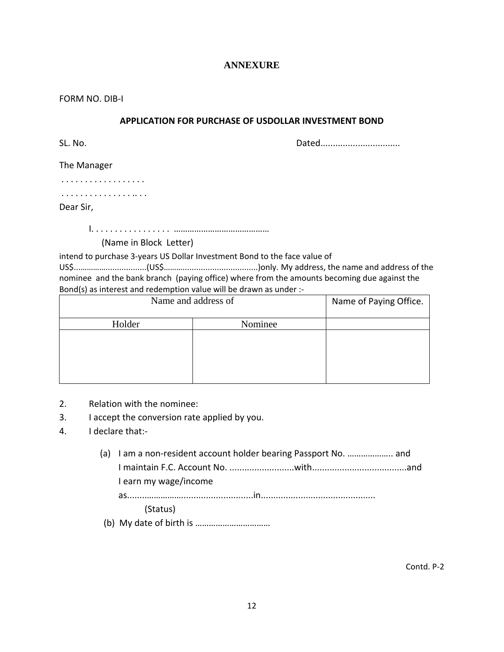#### **ANNEXURE**

FORM NO. DIB‐I

#### **APPLICATION FOR PURCHASE OF USDOLLAR INVESTMENT BOND**

SL. No. 2008. 2012. 2012. 2014. 2016. 2016. 2017. 2018. 2019. 2016. 2017. 2018. 2019. 2019. 2016. 2017. 2018. 2019. 2019. 2017. 2018. 2019. 2019. 2019. 2019. 2019. 2019. 2019. 2019. 2019. 2019. 2019. 2019. 2019. 2019. 2019

The Manager

. . . . . . . . . . . . . . . . . .

. . . . . . . . . . . . . . . .. . .

Dear Sir,

I. . . . . . . . . . . . . . . . . ……………………………………

(Name in Block Letter)

intend to purchase 3‐years US Dollar Investment Bond to the face value of

US\$...…………..................(US\$……….................................)only. My address, the name and address of the nominee and the bank branch (paying office) where from the amounts becoming due against the Bond(s) as interest and redemption value will be drawn as under :-

| Name and address of | Name of Paying Office. |  |
|---------------------|------------------------|--|
| Holder              | Nominee                |  |
|                     |                        |  |
|                     |                        |  |
|                     |                        |  |
|                     |                        |  |

- 2. Relation with the nominee:
- 3. I accept the conversion rate applied by you.
- 4. I declare that:‐
	- (a) I am a non‐resident account holder bearing Passport No. ……………….. and I maintain F.C. Account No. ..........................with......................................and I earn my wage/income as........…………….............................in.............................................. (Status)
	- (b) My date of birth is ……………………………

Contd. P‐2